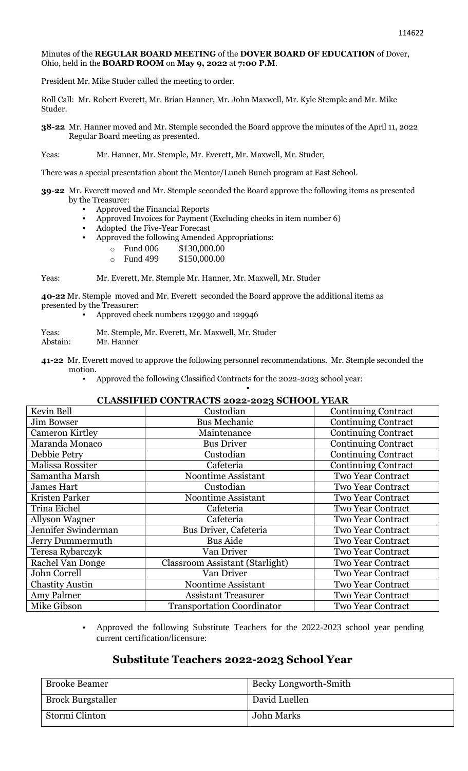### Minutes of the **REGULAR BOARD MEETING** of the **DOVER BOARD OF EDUCATION** of Dover, Ohio, held in the **BOARD ROOM** on **May 9, 2022** at **7:00 P.M**.

President Mr. Mike Studer called the meeting to order.

Roll Call: Mr. Robert Everett, Mr. Brian Hanner, Mr. John Maxwell, Mr. Kyle Stemple and Mr. Mike Studer.

**38-22** Mr. Hanner moved and Mr. Stemple seconded the Board approve the minutes of the April 11, 2022 Regular Board meeting as presented.

Yeas: Mr. Hanner, Mr. Stemple, Mr. Everett, Mr. Maxwell, Mr. Studer,

There was a special presentation about the Mentor/Lunch Bunch program at East School.

- **39-22** Mr. Everett moved and Mr. Stemple seconded the Board approve the following items as presented by the Treasurer:
	- Approved the Financial Reports
	- Approved Invoices for Payment (Excluding checks in item number 6)
	- Adopted the Five-Year Forecast
	- Approved the following Amended Appropriations:
		- o Fund 006 \$130,000.00
			- o Fund 499 \$150,000.00

Yeas: Mr. Everett, Mr. Stemple Mr. Hanner, Mr. Maxwell, Mr. Studer

**40-22** Mr. Stemple moved and Mr. Everett seconded the Board approve the additional items as presented by the Treasurer:

Approved check numbers 129930 and 129946

Yeas: Mr. Stemple, Mr. Everett, Mr. Maxwell, Mr. Studer Abstain: Mr. Hanner

**41-22** Mr. Everett moved to approve the following personnel recommendations. Mr. Stemple seconded the motion.

Approved the following Classified Contracts for the 2022-2023 school year: ▪

## **CLASSIFIED CONTRACTS 2022-2023 SCHOOL YEAR**

| Kevin Bell              | Custodian                              | <b>Continuing Contract</b> |
|-------------------------|----------------------------------------|----------------------------|
| Jim Bowser              | <b>Bus Mechanic</b>                    | <b>Continuing Contract</b> |
| <b>Cameron Kirtley</b>  | Maintenance                            | <b>Continuing Contract</b> |
| Maranda Monaco          | <b>Bus Driver</b>                      | <b>Continuing Contract</b> |
| Debbie Petry            | Custodian                              | <b>Continuing Contract</b> |
| Malissa Rossiter        | Cafeteria                              | <b>Continuing Contract</b> |
| Samantha Marsh          | <b>Noontime Assistant</b>              | <b>Two Year Contract</b>   |
| <b>James Hart</b>       | Custodian                              | <b>Two Year Contract</b>   |
| Kristen Parker          | <b>Noontime Assistant</b>              | <b>Two Year Contract</b>   |
| Trina Eichel            | Cafeteria                              | <b>Two Year Contract</b>   |
| <b>Allyson Wagner</b>   | Cafeteria                              | <b>Two Year Contract</b>   |
| Jennifer Swinderman     | Bus Driver, Cafeteria                  | <b>Two Year Contract</b>   |
| Jerry Dummermuth        | <b>Bus Aide</b>                        | <b>Two Year Contract</b>   |
| Teresa Rybarczyk        | Van Driver                             | <b>Two Year Contract</b>   |
| <b>Rachel Van Donge</b> | <b>Classroom Assistant (Starlight)</b> | Two Year Contract          |
| John Correll            | Van Driver                             | <b>Two Year Contract</b>   |
| <b>Chastity Austin</b>  | <b>Noontime Assistant</b>              | <b>Two Year Contract</b>   |
| Amy Palmer              | <b>Assistant Treasurer</b>             | <b>Two Year Contract</b>   |
| Mike Gibson             | <b>Transportation Coordinator</b>      | <b>Two Year Contract</b>   |

Approved the following Substitute Teachers for the 2022-2023 school year pending current certification/licensure:

## **Substitute Teachers 2022-2023 School Year**

| <b>Brooke Beamer</b>     | Becky Longworth-Smith |
|--------------------------|-----------------------|
| <b>Brock Burgstaller</b> | David Luellen         |
| Stormi Clinton           | John Marks            |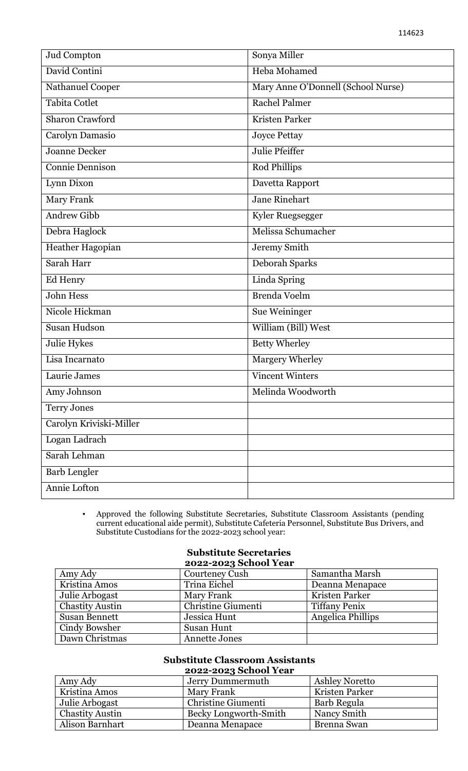| Jud Compton             | Sonya Miller                       |
|-------------------------|------------------------------------|
| David Contini           | Heba Mohamed                       |
| Nathanuel Cooper        | Mary Anne O'Donnell (School Nurse) |
| Tabita Cotlet           | <b>Rachel Palmer</b>               |
| <b>Sharon Crawford</b>  | Kristen Parker                     |
| Carolyn Damasio         | <b>Joyce Pettay</b>                |
| <b>Joanne Decker</b>    | Julie Pfeiffer                     |
| <b>Connie Dennison</b>  | Rod Phillips                       |
| Lynn Dixon              | Davetta Rapport                    |
| Mary Frank              | <b>Jane Rinehart</b>               |
| <b>Andrew Gibb</b>      | Kyler Ruegsegger                   |
| Debra Haglock           | Melissa Schumacher                 |
| Heather Hagopian        | Jeremy Smith                       |
| Sarah Harr              | <b>Deborah Sparks</b>              |
| Ed Henry                | Linda Spring                       |
| <b>John Hess</b>        | <b>Brenda Voelm</b>                |
| Nicole Hickman          | Sue Weininger                      |
| <b>Susan Hudson</b>     | William (Bill) West                |
| Julie Hykes             | <b>Betty Wherley</b>               |
| Lisa Incarnato          | Margery Wherley                    |
| Laurie James            | <b>Vincent Winters</b>             |
| Amy Johnson             | Melinda Woodworth                  |
| <b>Terry Jones</b>      |                                    |
| Carolyn Kriviski-Miller |                                    |
| Logan Ladrach           |                                    |
| Sarah Lehman            |                                    |
| Barb Lengler            |                                    |
| Annie Lofton            |                                    |

▪ Approved the following Substitute Secretaries, Substitute Classroom Assistants (pending current educational aide permit), Substitute Cafeteria Personnel, Substitute Bus Drivers, and Substitute Custodians for the 2022-2023 school year:

# **Substitute Secretaries**

|                        | 2022-2023 School Year |                      |
|------------------------|-----------------------|----------------------|
| Amy Ady                | Courteney Cush        | Samantha Marsh       |
| Kristina Amos          | Trina Eichel          | Deanna Menapace      |
| Julie Arbogast         | Mary Frank            | Kristen Parker       |
| <b>Chastity Austin</b> | Christine Giumenti    | <b>Tiffany Penix</b> |
| <b>Susan Bennett</b>   | Jessica Hunt          | Angelica Phillips    |
| Cindy Bowsher          | Susan Hunt            |                      |
| Dawn Christmas         | <b>Annette Jones</b>  |                      |

#### **Substitute Classroom Assistants 2022-2023 School Year**

|                        | 2022-2023 SCHOOL Fear |                    |
|------------------------|-----------------------|--------------------|
| Amy Ady                | Jerry Dummermuth      | Ashley Noretto     |
| Kristina Amos          | Mary Frank            | Kristen Parker     |
| Julie Arbogast         | Christine Giumenti    | Barb Regula        |
| <b>Chastity Austin</b> | Becky Longworth-Smith | Nancy Smith        |
| Alison Barnhart        | Deanna Menapace       | <b>Brenna Swan</b> |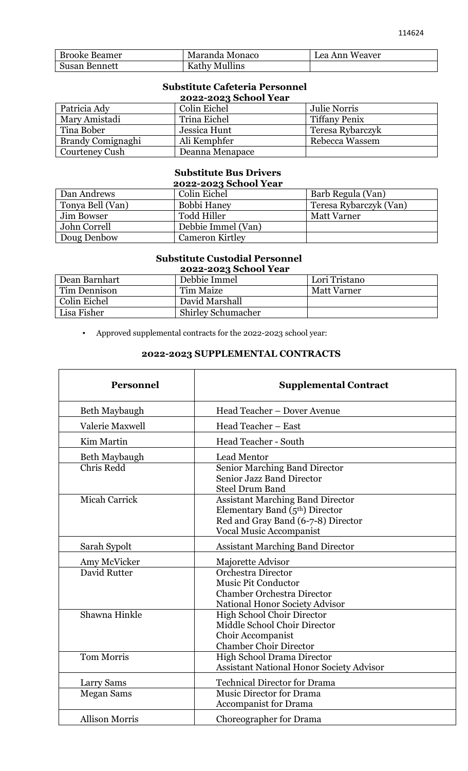| <b>Brooke Beamer</b> | Maranda Monaco       | Lea Ann Weaver |
|----------------------|----------------------|----------------|
| <b>Susan Bennett</b> | <b>Kathy Mullins</b> |                |

## **Substitute Cafeteria Personnel 2022-2023 School Year**

| Patricia Ady             | Colin Eichel    | <b>Julie Norris</b>  |
|--------------------------|-----------------|----------------------|
| Mary Amistadi            | Trina Eichel    | <b>Tiffany Penix</b> |
| Tina Bober               | Jessica Hunt    | Teresa Rybarczyk     |
| <b>Brandy Comignaghi</b> | Ali Kemphfer    | Rebecca Wassem       |
| Courteney Cush           | Deanna Menapace |                      |

# **Substitute Bus Drivers**

| 2022-2023 School Year |                        |                        |
|-----------------------|------------------------|------------------------|
| Dan Andrews           | Colin Eichel           | Barb Regula (Van)      |
| Tonya Bell (Van)      | Bobbi Haney            | Teresa Rybarczyk (Van) |
| Jim Bowser            | <b>Todd Hiller</b>     | <b>Matt Varner</b>     |
| John Correll          | Debbie Immel (Van)     |                        |
| Doug Denbow           | <b>Cameron Kirtley</b> |                        |

# **Substitute Custodial Personnel**

| 2022-2023 School Year |                           |                    |
|-----------------------|---------------------------|--------------------|
| Dean Barnhart         | Debbie Immel              | Lori Tristano      |
| Tim Dennison          | Tim Maize                 | <b>Matt Varner</b> |
| Colin Eichel          | David Marshall            |                    |
| Lisa Fisher           | <b>Shirley Schumacher</b> |                    |

▪ Approved supplemental contracts for the 2022-2023 school year:

## **2022-2023 SUPPLEMENTAL CONTRACTS**

| <b>Personnel</b>      | <b>Supplemental Contract</b>                                                                                                                        |
|-----------------------|-----------------------------------------------------------------------------------------------------------------------------------------------------|
| Beth Maybaugh         | Head Teacher - Dover Avenue                                                                                                                         |
| Valerie Maxwell       | Head Teacher - East                                                                                                                                 |
| Kim Martin            | <b>Head Teacher - South</b>                                                                                                                         |
| Beth Maybaugh         | Lead Mentor                                                                                                                                         |
| Chris Redd            | Senior Marching Band Director<br><b>Senior Jazz Band Director</b><br><b>Steel Drum Band</b>                                                         |
| <b>Micah Carrick</b>  | <b>Assistant Marching Band Director</b><br>Elementary Band $(5th)$ Director<br>Red and Gray Band (6-7-8) Director<br><b>Vocal Music Accompanist</b> |
| Sarah Sypolt          | <b>Assistant Marching Band Director</b>                                                                                                             |
| Amy McVicker          | Majorette Advisor                                                                                                                                   |
| David Rutter          | <b>Orchestra Director</b><br><b>Music Pit Conductor</b><br><b>Chamber Orchestra Director</b><br>National Honor Society Advisor                      |
| Shawna Hinkle         | <b>High School Choir Director</b><br>Middle School Choir Director<br>Choir Accompanist<br><b>Chamber Choir Director</b>                             |
| <b>Tom Morris</b>     | High School Drama Director<br><b>Assistant National Honor Society Advisor</b>                                                                       |
| <b>Larry Sams</b>     | <b>Technical Director for Drama</b>                                                                                                                 |
| <b>Megan Sams</b>     | <b>Music Director for Drama</b><br><b>Accompanist for Drama</b>                                                                                     |
| <b>Allison Morris</b> | Choreographer for Drama                                                                                                                             |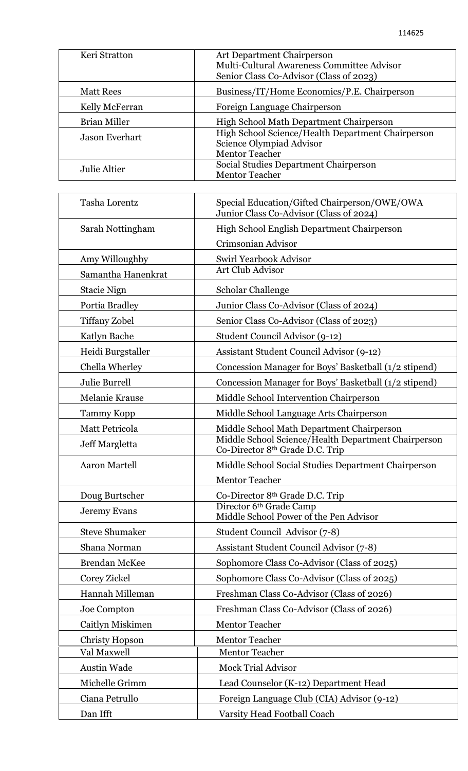| Keri Stratton         | Art Department Chairperson<br>Multi-Cultural Awareness Committee Advisor<br>Senior Class Co-Advisor (Class of 2023) |
|-----------------------|---------------------------------------------------------------------------------------------------------------------|
| <b>Matt Rees</b>      | Business/IT/Home Economics/P.E. Chairperson                                                                         |
| Kelly McFerran        | Foreign Language Chairperson                                                                                        |
| Brian Miller          | High School Math Department Chairperson                                                                             |
| <b>Jason Everhart</b> | High School Science/Health Department Chairperson<br>Science Olympiad Advisor<br><b>Mentor Teacher</b>              |
| Julie Altier          | Social Studies Department Chairperson<br><b>Mentor Teacher</b>                                                      |

| Tasha Lorentz         | Special Education/Gifted Chairperson/OWE/OWA<br>Junior Class Co-Advisor (Class of 2024)            |
|-----------------------|----------------------------------------------------------------------------------------------------|
| Sarah Nottingham      | High School English Department Chairperson                                                         |
|                       | Crimsonian Advisor                                                                                 |
| Amy Willoughby        | Swirl Yearbook Advisor                                                                             |
| Samantha Hanenkrat    | Art Club Advisor                                                                                   |
| Stacie Nign           | Scholar Challenge                                                                                  |
| Portia Bradley        | Junior Class Co-Advisor (Class of 2024)                                                            |
| <b>Tiffany Zobel</b>  | Senior Class Co-Advisor (Class of 2023)                                                            |
| Katlyn Bache          | Student Council Advisor (9-12)                                                                     |
| Heidi Burgstaller     | Assistant Student Council Advisor (9-12)                                                           |
| Chella Wherley        | Concession Manager for Boys' Basketball (1/2 stipend)                                              |
| Julie Burrell         | Concession Manager for Boys' Basketball (1/2 stipend)                                              |
| Melanie Krause        | Middle School Intervention Chairperson                                                             |
| <b>Tammy Kopp</b>     | Middle School Language Arts Chairperson                                                            |
| Matt Petricola        | Middle School Math Department Chairperson                                                          |
| Jeff Margletta        | Middle School Science/Health Department Chairperson<br>Co-Director 8 <sup>th</sup> Grade D.C. Trip |
| <b>Aaron Martell</b>  | Middle School Social Studies Department Chairperson<br><b>Mentor Teacher</b>                       |
| Doug Burtscher        | Co-Director 8 <sup>th</sup> Grade D.C. Trip                                                        |
| <b>Jeremy Evans</b>   | Director 6th Grade Camp<br>Middle School Power of the Pen Advisor                                  |
| Steve Shumaker        | Student Council Advisor (7-8)                                                                      |
| Shana Norman          | Assistant Student Council Advisor (7-8)                                                            |
| <b>Brendan McKee</b>  | Sophomore Class Co-Advisor (Class of 2025)                                                         |
| Corey Zickel          | Sophomore Class Co-Advisor (Class of 2025)                                                         |
| Hannah Milleman       | Freshman Class Co-Advisor (Class of 2026)                                                          |
| Joe Compton           | Freshman Class Co-Advisor (Class of 2026)                                                          |
| Caitlyn Miskimen      | <b>Mentor Teacher</b>                                                                              |
| <b>Christy Hopson</b> | <b>Mentor Teacher</b>                                                                              |
| Val Maxwell           | <b>Mentor Teacher</b>                                                                              |
| Austin Wade           | <b>Mock Trial Advisor</b>                                                                          |
| Michelle Grimm        | Lead Counselor (K-12) Department Head                                                              |
| Ciana Petrullo        | Foreign Language Club (CIA) Advisor (9-12)                                                         |
| Dan Ifft              | Varsity Head Football Coach                                                                        |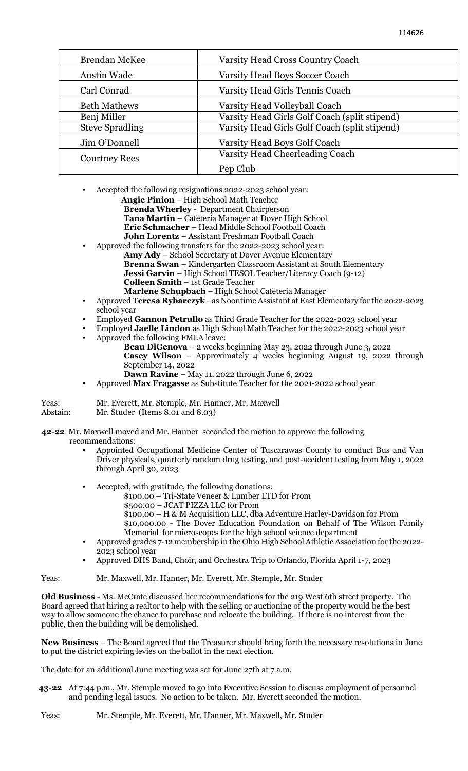| Brendan McKee          | <b>Varsity Head Cross Country Coach</b>       |
|------------------------|-----------------------------------------------|
| <b>Austin Wade</b>     | Varsity Head Boys Soccer Coach                |
| Carl Conrad            | Varsity Head Girls Tennis Coach               |
| <b>Beth Mathews</b>    | Varsity Head Volleyball Coach                 |
| Benj Miller            | Varsity Head Girls Golf Coach (split stipend) |
| <b>Steve Spradling</b> | Varsity Head Girls Golf Coach (split stipend) |
| Jim O'Donnell          | Varsity Head Boys Golf Coach                  |
| <b>Courtney Rees</b>   | Varsity Head Cheerleading Coach               |
|                        | Pep Club                                      |

Accepted the following resignations 2022-2023 school year:

- **Angie Pinion** High School Math Teacher
- **Brenda Wherley** Department Chairperson

**Tana Martin** – Cafeteria Manager at Dover High School

- **Eric Schmacher**  Head Middle School Football Coach
- **John Lorentz**  Assistant Freshman Football Coach
- Approved the following transfers for the 2022-2023 school year: **Amy Ady** – School Secretary at Dover Avenue Elementary **Brenna Swan** – Kindergarten Classroom Assistant at South Elementary **Jessi Garvin** – High School TESOL Teacher/Literacy Coach (9-12) **Colleen Smith** – 1st Grade Teacher **Marlene Schupbach** – High School Cafeteria Manager
- Approved **Teresa Rybarczyk** –as Noontime Assistant at East Elementary for the 2022-2023 school year
- Employed **Gannon Petrullo** as Third Grade Teacher for the 2022-2023 school year
- Employed **Jaelle Lindon** as High School Math Teacher for the 2022-2023 school year Approved the following FMLA leave:
	- **Beau DiGenova** 2 weeks beginning May 23, 2022 through June 3, 2022 **Casey Wilson** – Approximately 4 weeks beginning August 19, 2022 through September 14, 2022
	- **Dawn Ravine** May 11, 2022 through June 6, 2022
- Approved **Max Fragasse** as Substitute Teacher for the 2021-2022 school year

Yeas: Mr. Everett, Mr. Stemple, Mr. Hanner, Mr. Maxwell Mr. Studer (Items  $8.01$  and  $8.03$ )

**42-22** Mr. Maxwell moved and Mr. Hanner seconded the motion to approve the following recommendations:

- Appointed Occupational Medicine Center of Tuscarawas County to conduct Bus and Van Driver physicals, quarterly random drug testing, and post-accident testing from May 1, 2022 through April 30, 2023
- Accepted, with gratitude, the following donations:
	- \$100.00 Tri-State Veneer & Lumber LTD for Prom
	- \$500.00 JCAT PIZZA LLC for Prom
	- \$100.00 H & M Acquisition LLC, dba Adventure Harley-Davidson for Prom \$10,000.00 - The Dover Education Foundation on Behalf of The Wilson Family
	- Memorial for microscopes for the high school science department
- Approved grades 7-12 membership in the Ohio High School Athletic Association for the 2022- 2023 school year
- Approved DHS Band, Choir, and Orchestra Trip to Orlando, Florida April 1-7, 2023

Yeas: Mr. Maxwell, Mr. Hanner, Mr. Everett, Mr. Stemple, Mr. Studer

**Old Business -** Ms. McCrate discussed her recommendations for the 219 West 6th street property. The Board agreed that hiring a realtor to help with the selling or auctioning of the property would be the best way to allow someone the chance to purchase and relocate the building. If there is no interest from the public, then the building will be demolished.

**New Business** – The Board agreed that the Treasurer should bring forth the necessary resolutions in June to put the district expiring levies on the ballot in the next election.

The date for an additional June meeting was set for June 27th at 7 a.m.

 **43-22** At 7:44 p.m., Mr. Stemple moved to go into Executive Session to discuss employment of personnel and pending legal issues. No action to be taken. Mr. Everett seconded the motion.

Yeas: Mr. Stemple, Mr. Everett, Mr. Hanner, Mr. Maxwell, Mr. Studer